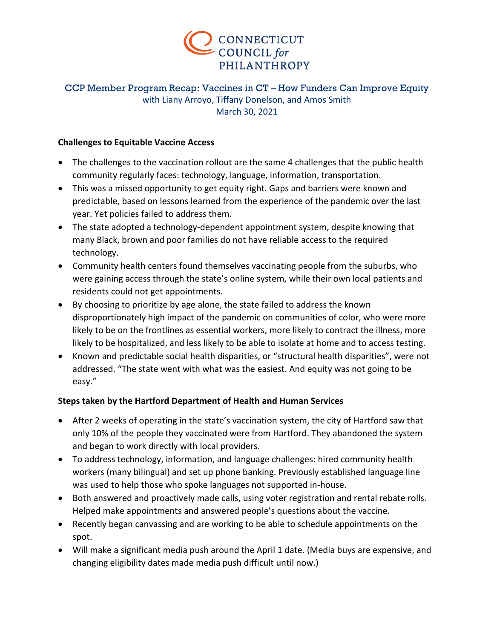

# CCP Member Program Recap: Vaccines in CT – How Funders Can Improve Equity with Liany Arroyo, Tiffany Donelson, and Amos Smith March 30, 2021

### **Challenges to Equitable Vaccine Access**

- The challenges to the vaccination rollout are the same 4 challenges that the public health community regularly faces: technology, language, information, transportation.
- This was a missed opportunity to get equity right. Gaps and barriers were known and predictable, based on lessons learned from the experience of the pandemic over the last year. Yet policies failed to address them.
- The state adopted a technology-dependent appointment system, despite knowing that many Black, brown and poor families do not have reliable access to the required technology.
- Community health centers found themselves vaccinating people from the suburbs, who were gaining access through the state's online system, while their own local patients and residents could not get appointments.
- By choosing to prioritize by age alone, the state failed to address the known disproportionately high impact of the pandemic on communities of color, who were more likely to be on the frontlines as essential workers, more likely to contract the illness, more likely to be hospitalized, and less likely to be able to isolate at home and to access testing.
- Known and predictable social health disparities, or "structural health disparities", were not addressed. "The state went with what was the easiest. And equity was not going to be easy."

# **Steps taken by the Hartford Department of Health and Human Services**

- After 2 weeks of operating in the state's vaccination system, the city of Hartford saw that only 10% of the people they vaccinated were from Hartford. They abandoned the system and began to work directly with local providers.
- To address technology, information, and language challenges: hired community health workers (many bilingual) and set up phone banking. Previously established language line was used to help those who spoke languages not supported in-house.
- Both answered and proactively made calls, using voter registration and rental rebate rolls. Helped make appointments and answered people's questions about the vaccine.
- Recently began canvassing and are working to be able to schedule appointments on the spot.
- Will make a significant media push around the April 1 date. (Media buys are expensive, and changing eligibility dates made media push difficult until now.)